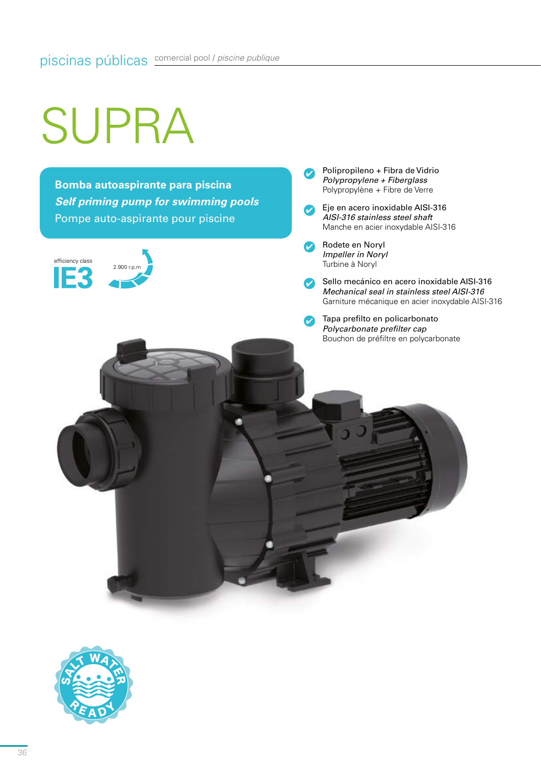## SUPRA

**Bomba autoaspirante para piscina** *Self priming pump for swimming pools* Pompe auto-aspirante pour piscine



Polipropileno + Fibra de Vidrio  $\boldsymbol{\sigma}$ *Polypropylene + Fiberglass* Polypropylène + Fibre de Verre

Eje en acero inoxidable AISI-316  $\mathcal{L}$ *AISI-316 stainless steel shaft* Manche en acier inoxydable AISI-316

Rodete en Noryl  $\bullet$ *Impeller in Noryl* Turbine à Noryl

> Sello mecánico en acero inoxidable AISI-316 *Mechanical seal in stainless steel AISI-316* Garniture mécanique en acier inoxydable AISI-316

Tapa prefilto en policarbonato *Polycarbonate prefilter cap* Bouchon de préfiltre en polycarbonate

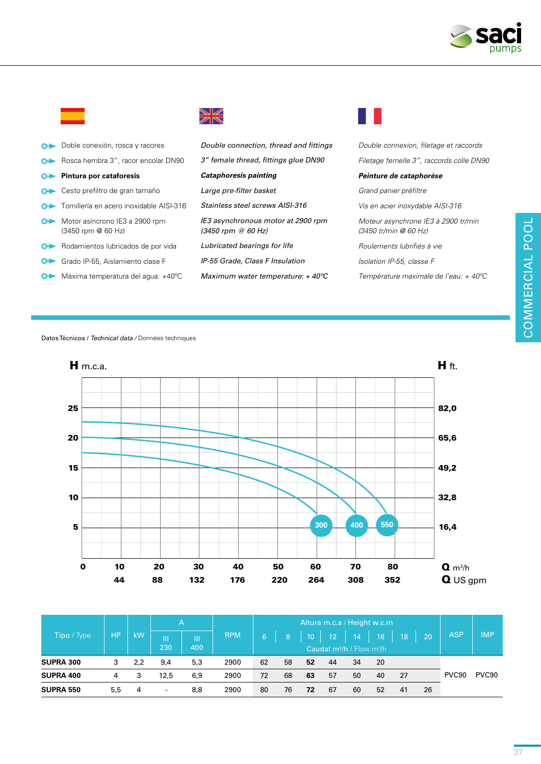

a pr

| $\bullet$     | Doble conexión, rosca y racores                      | Double connection, thread and fittings                     | Double connexion, filetage et raccords                       |
|---------------|------------------------------------------------------|------------------------------------------------------------|--------------------------------------------------------------|
| $\bullet$     | Rosca hembra 3", racor encolar DN90                  | 3" female thread, fittings glue DN90                       | Filetage femelle 3", raccords colle DN90                     |
|               | <b>O → Pintura por cataforesis</b>                   | <b>Cataphoresis painting</b>                               | Peinture de cataphorèse                                      |
|               | O Cesto prefiltro de gran tamaño                     | Large pre-filter basket                                    | Grand panier préfiltre                                       |
| $\rightarrow$ | Tornillería en acero inoxidable AISI-316             | Stainless steel screws AISI-316                            | Vis en acier inoxydable AISI-316                             |
| $\bullet$     | Motor asíncrono IE3 a 2900 rpm<br>(3450 rpm @ 60 Hz) | IE3 asynchronous motor at 2900 rpm<br>$(3450$ rpm @ 60 Hz) | Moteur asynchrone IE3 à 2900 tr/min<br>(3450 tr/min @ 60 Hz) |
| $\bullet$     | Rodamientos lubricados de por vida                   | Lubricated bearings for life                               | Roulements lubrifiés à vie                                   |
| ⊶             | Grado IP-55, Aislamiento clase F                     | IP-55 Grade, Class F Insulation                            | Isolation IP-55, classe F                                    |
| ⊶             | Máxima temperatura del aqua: +40°C                   | Maximum water temperature: $+$ 40 $\degree$ C              | Température maximale de l'eau: + 40°C                        |

▒

Datos Técnicos / *Technical data /* Données techniques



|                  | HP  | kW  | ΙA.                      |     |                               | Altura m.c.a / Height w.c.m |    |                           |                 |    |                 |     |    |                   |                   |
|------------------|-----|-----|--------------------------|-----|-------------------------------|-----------------------------|----|---------------------------|-----------------|----|-----------------|-----|----|-------------------|-------------------|
| Tipo / Type      |     |     | Ш<br>Ш<br>230<br>400     |     | <b>RPM</b>                    | 6                           | 8  | $\mathsf{I}10^\mathsf{T}$ | 12 <sup>2</sup> | 14 | 16 <sup>°</sup> | 18  | 20 | <b>ASP</b>        | <b>IMP</b>        |
|                  |     |     |                          |     | Caudal $m^3/h$ / Flow $m^3/h$ |                             |    |                           |                 |    |                 |     |    |                   |                   |
| <b>SUPRA 300</b> | 3   | 2,2 | 9,4                      | 5,3 | 2900                          | 62                          | 58 | 52                        | 44              | 34 | -20             |     |    |                   |                   |
| SUPRA 400        | 4   | 3   | 12.5                     | 6,9 | 2900                          | 72                          | 68 | 63                        | 57              | 50 | 40              | -27 |    | PVC <sub>90</sub> | PVC <sub>90</sub> |
| <b>SUPRA 550</b> | 5,5 | 4   | $\overline{\phantom{a}}$ | 8,8 | 2900                          | 80                          | 76 | 72                        | 67              | 60 | 52              | 41  | 26 |                   |                   |